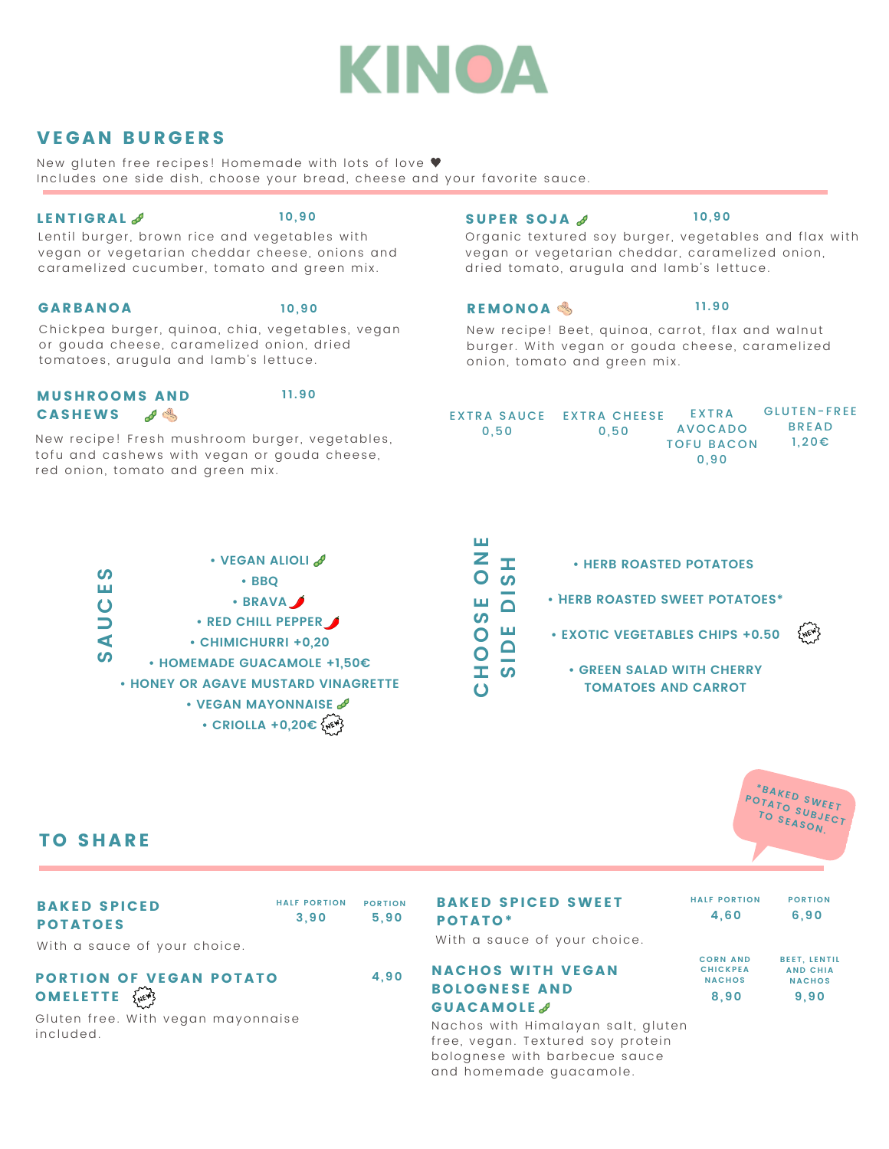

# **VEGAN BURGERS**

New gluten free recipes! Homemade with lots of love  $\blacklozenge$ Includes one side dish, choose your bread, cheese and your favorite sauce.

#### **10,90**

**11.90**

Lentil burger, brown rice and vegetables with vegan or vegetarian cheddar cheese, onions and caramelized cucumber, tomato and green mix.

#### **GARBANOA**

#### **10,90**

Chickpea burger, quinoa, chia, vegetables, vegan or gouda cheese, caramelized onion, dried tomatoes, arugula and lamb's lettuce.

#### MUSHROOMS AND CASHEWS **CASHEWS**

New recipe! Fresh mushroom burger, vegetables,

tofu and cashews with vegan or gouda cheese, red onion, tomato and green mix.

#### LENTIGRAL  $\ell$  10,90 SUPER SOJA A

**10,90**

Organic textured soy burger, vegetables and flax with vegan or vegetarian cheddar, caramelized onion, dried tomato, arugula and lamb's lettuce.

#### REMONOA<sup></sup> **11.90**

New recipe! Beet, quinoa, carrot, flax and walnut burger. With vegan or gouda cheese, caramelized onion, tomato and green mix.

| 0.50 | EXTRA SAUCE EXTRA CHEESE<br>0.50 | <b>FXTRA</b><br><b>AVOCADO</b><br><b>TOFU BACON</b><br>0.90 | GLUTEN-FREE<br><b>BRFAD</b><br>$1.20 \epsilon$ |
|------|----------------------------------|-------------------------------------------------------------|------------------------------------------------|
|      |                                  |                                                             |                                                |



| Z                                 | <b>• HERB ROASTED POTATOES</b>                                 |  |
|-----------------------------------|----------------------------------------------------------------|--|
| щ                                 | • HERB ROASTED SWEET POTATOES*                                 |  |
| <b>S</b><br>$\mathbf{\mathsf{C}}$ | <b>• EXOTIC VEGETABLES CHIPS +0.50</b>                         |  |
| Œ.<br>ഗ                           | <b>• GREEN SALAD WITH CHERRY</b><br><b>TOMATOES AND CARROT</b> |  |



**9,90**

# TO SHA RE

| <b>BAKED SPICED</b> | <b>HALF PORTION PORTION</b> | 5.90 |  |
|---------------------|-----------------------------|------|--|
| <b>POTATOES</b>     | 3.90                        |      |  |

With a sauce of your choice.

#### PORTION OF VEGAN POTATO **OMELETTE**

Gluten free. With vegan mayonnaise inc luded.

#### **BAKED SPICED SWEET** POTATO\*

With a sauce of your choice.

#### NACHOS WITH VEGAN BOLOGNESE AND **GUACAMOLE**

**4,90**

Nachos with Himalayan salt, gluten free, vegan. Textured soy protein bolognese with barbecue sauce and homemade guacamole.

| <b>HALF PORTION</b> | <b>PORTION</b>      |
|---------------------|---------------------|
| 4,60                | 6,90                |
|                     |                     |
| <b>CORN AND</b>     | <b>BEET, LENTIL</b> |
| <b>CHICKPEA</b>     | <b>AND CHIA</b>     |
| <b>NACHOS</b>       | <b>NACHOS</b>       |

**8,90**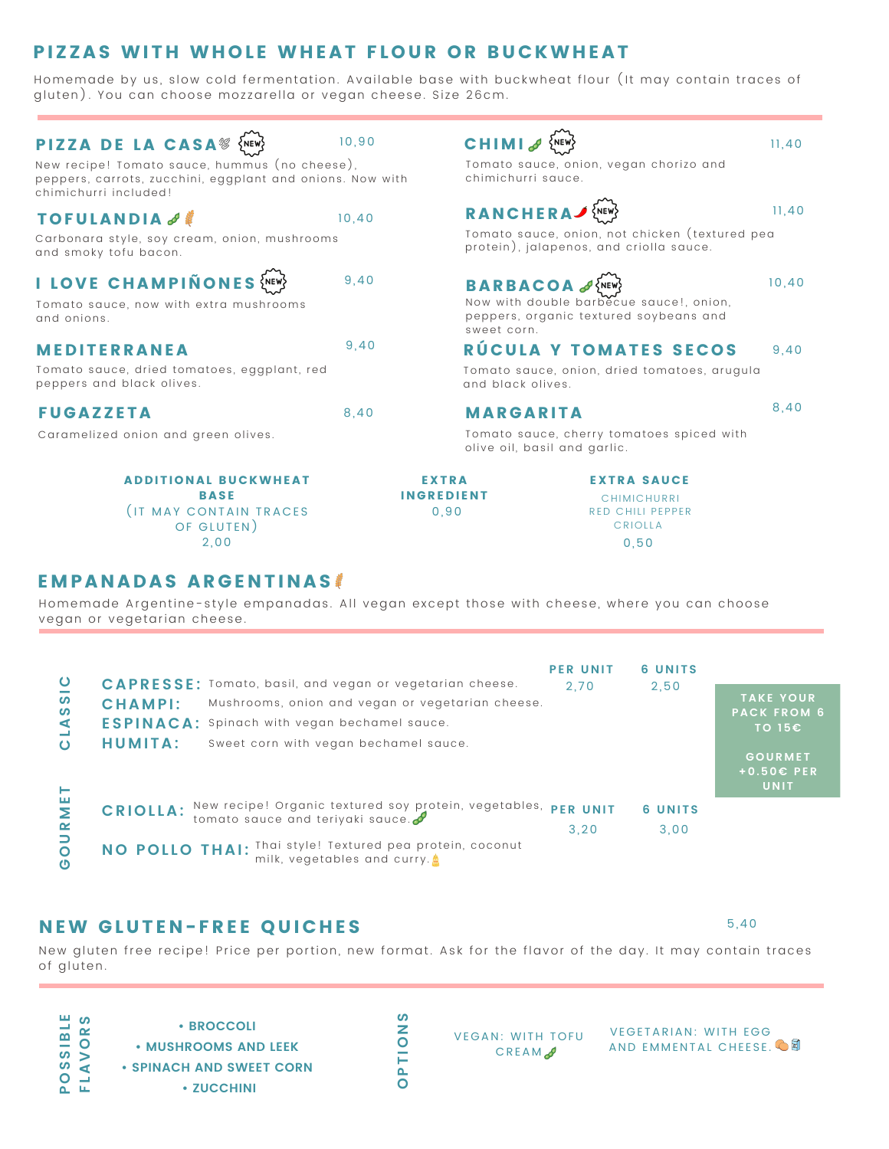# PIZZAS WITH WHOLE WHEAT FLOUR OR BUCKWHEAT

Homemade by us, slow cold fermentation. Available base with buckwheat flour (It may contain traces of gluten). You can choose mozzarella or vegan cheese. Size 26cm.

| PIZZA DE LA CASA <sup>S</sup>                                                                                                       | 10.90                                                             | <b>CHIMI</b>                                                                                           | 11,40 |
|-------------------------------------------------------------------------------------------------------------------------------------|-------------------------------------------------------------------|--------------------------------------------------------------------------------------------------------|-------|
| New recipe! Tomato sauce, hummus (no cheese),<br>peppers, carrots, zucchini, eggplant and onions. Now with<br>chimichurri included! |                                                                   | Tomato sauce, onion, vegan chorizo and<br>chimichurri squce.                                           |       |
| <b>TOFULANDIA</b>                                                                                                                   | 10, 40                                                            | RANCHERA-<br>Tomato sauce, onion, not chicken (textured pea<br>protein), jalapenos, and criolla sauce. |       |
| Carbonara style, soy cream, onion, mushrooms<br>and smoky tofu bacon.                                                               |                                                                   |                                                                                                        |       |
| I LOVE CHAMPIÑONES                                                                                                                  | 9.40                                                              | <b>BARBACOA</b>                                                                                        | 10,40 |
| Tomato sauce, now with extra mushrooms<br>and onions.                                                                               |                                                                   | Now with double barbecue sauce!, onion,<br>peppers, organic textured soybeans and<br>sweet corn.       |       |
| <b>MEDITERRANEA</b>                                                                                                                 | 9,40                                                              | RÚCULA Y TOMATES SECOS                                                                                 |       |
| Tomato sauce, dried tomatoes, eggplant, red<br>peppers and black olives.                                                            | Tomato sauce, onion, dried tomatoes, arugula<br>and black olives. |                                                                                                        |       |
| <b>FUGAZZETA</b>                                                                                                                    | 8,40                                                              | 8,40<br><b>MARGARITA</b>                                                                               |       |
| Caramelized onion and green olives.                                                                                                 |                                                                   | Tomato sauce, cherry tomatoes spiced with<br>olive oil, basil and garlic.                              |       |
| <b>ADDITIONAL BUCKWHEAT</b>                                                                                                         | <b>EXTRA</b>                                                      | <b>EXTRA SAUCE</b>                                                                                     |       |
| <b>BASE</b><br><b>IT MAY CONTAIN TRACES</b><br>OF GLUTEN)                                                                           | <b>INGREDIENT</b><br>0.90                                         | <b>CHIMICHURRI</b><br><b>RED CHILI PEPPER</b><br>CRIOLLA                                               |       |
| 2,00                                                                                                                                |                                                                   | 0,50                                                                                                   |       |
| <b>EMPANADAS ARGENTINAS</b>                                                                                                         |                                                                   |                                                                                                        |       |

Homemade Argentine-style empanadas. All vegan except those with cheese, where you can choose vegan or vegetarian cheese.

|                               |                                                                                                                                       | <b>PER UNIT</b> | <b>6 UNITS</b> |                                        |  |  |
|-------------------------------|---------------------------------------------------------------------------------------------------------------------------------------|-----------------|----------------|----------------------------------------|--|--|
| $\overline{\Omega}$<br>S<br>S | <b>CAPRESSE:</b> Tomato, basil, and vegan or vegetarian cheese.<br><b>CHAMPI:</b><br>Mushrooms, onion and vegan or vegetarian cheese. | 2.70            | 2,50           | <b>TAKE YOUR</b><br><b>PACK FROM 6</b> |  |  |
|                               | ESPINACA: Spinach with vegan bechamel sauce.                                                                                          |                 |                | TO 15€                                 |  |  |
|                               | <b>HUMITA:</b><br>Sweet corn with vegan bechamel sauce.                                                                               |                 |                | <b>GOURMET</b><br>+0.50€ PER<br>UNIT   |  |  |
| ш                             | CRIOLLA: New recipe! Organic textured soy protein, vegetables, PER UNIT<br>tomato sauce and teriyaki sauce.                           |                 | <b>6 UNITS</b> |                                        |  |  |
| $\alpha$                      |                                                                                                                                       | 3.20            | 3,00           |                                        |  |  |
| $\sqrt{2}$                    | NO POLLO THAI: Thai style! Textured pea protein, coconut<br>milk, vegetables and curry.                                               |                 |                |                                        |  |  |

#### **NEW GLUTEN-FREE QUICHES**

**G**

**P**

ທູ

**SIBL E**

New gluten free recipe! Price per portion, new format. Ask for the flavor of the day. It may contain traces of gluten.

> **OPT IO**

**NS**

**• BROCCOLI • MUSHROOMS AND LEEK • SPINACH AND SWEET CORN • ZUCCHINI O F L A VORS**

VEGAN: WITH TOFU CREAM

VEGETARIAN: WITH EGG AND EMMENTAL CHEESE.

5,40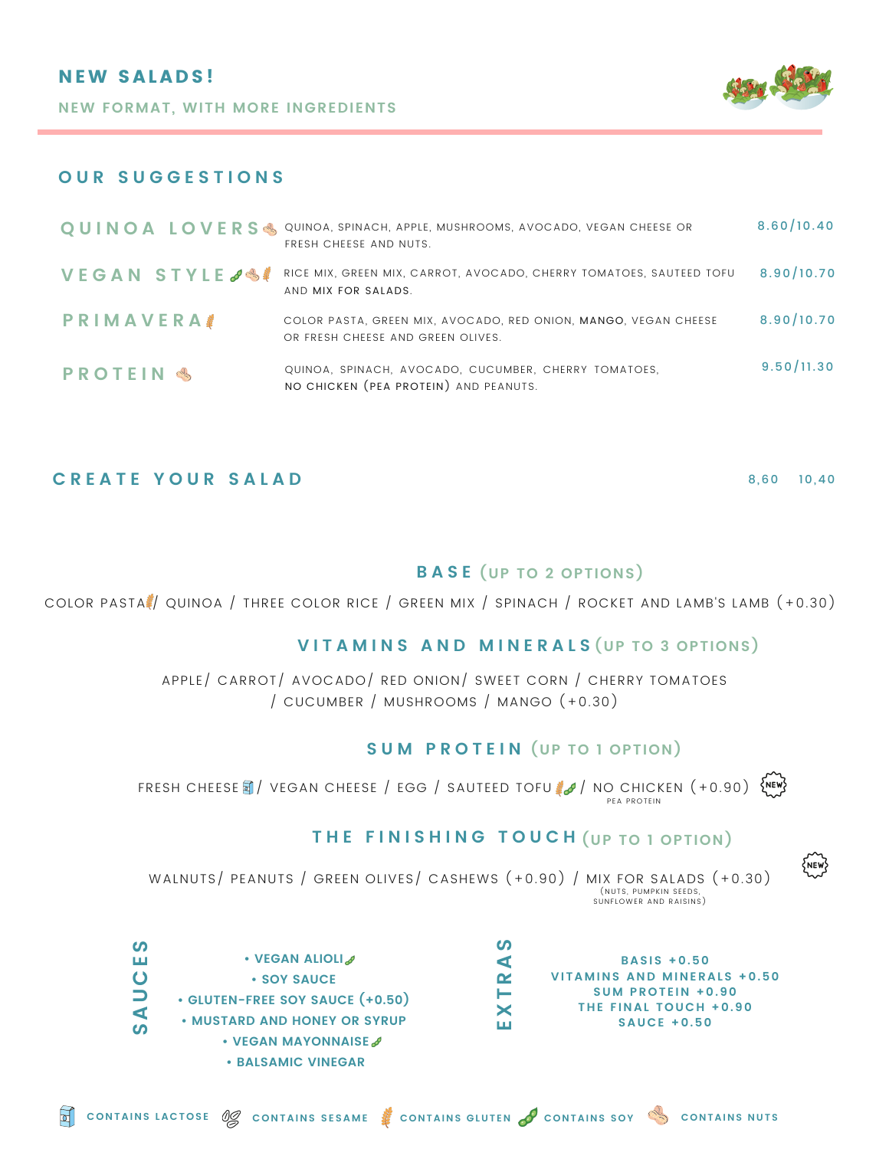## **NEW SALADS!**

**NEW FORMAT, WITH MORE INGREDIENTS**



#### **O U R S U G G E S T I O N S**

| QUINOA LOVERS&    | QUINOA, SPINACH, APPLE, MUSHROOMS, AVOCADO, VEGAN CHEESE OR<br><b>FRESH CHEESE AND NUTS.</b>         | 8.60/10.40 |
|-------------------|------------------------------------------------------------------------------------------------------|------------|
| VEGAN STYLES      | RICE MIX, GREEN MIX, CARROT, AVOCADO, CHERRY TOMATOES, SAUTEED TOFU<br>AND MIX FOR SALADS.           | 8.90/10.70 |
| <b>PRIMAVERA#</b> | COLOR PASTA, GREEN MIX, AVOCADO, RED ONION, MANGO, VEGAN CHEESE<br>OR FRESH CHEESE AND GREEN OLIVES. | 8.90/10.70 |
| <b>PROTEIN</b>    | QUINOA, SPINACH, AVOCADO, CUCUMBER, CHERRY TOMATOES,<br>NO CHICKEN (PEA PROTEIN) AND PEANUTS.        | 9.50/11.30 |

#### **C R E A T E Y O U R S A L A D**

8,60 10,40

## **B A S E (UP TO 2 OPTIONS)**

COLOR PASTA / QUINOA / THREE COLOR RICE / GREEN MIX / SPINACH / ROCKET AND LAMB'S LAMB (+0.30)

# **V I T A M I N S A N D M I N E R A L S (UP TO 3 OPTIONS)**

APPLE/ CARROT/ AVOCADO/ RED ONION/ SWEET CORN / CHERRY TOMATOES / CUCUMBER / MUSHROOMS / MANGO (+0.30)

#### **S U M P R O T E I N (UP TO 1 OPTION)**

FRESH CHEESE 1 VEGAN CHEESE / EGG / SAUTEED TOFU / NO CHICKEN (+0.90)  $\{N \in W\}$ P F A PROTEIN

# **T H E F I N I S H I N G T O U C H (UP TO 1 OPTION)**



WALNUTS / PEANUTS / GREEN OLIVES / CASHEWS (+0.90) / MIX FOR SALADS (+0.30) (NUTS, PUMPKIN SEEDS,<br>SUNFLOWER AND RAISINS)

**• VEGAN ALIOLI • SOY SAUCE • GLUTEN-FREE SOY SAUCE (+0.50) • MUSTARD AND HONEY OR SYRUP • VEGAN MAYONNAISE • BALSAMIC VINEGAR**  $\epsilon$  $\Omega$ **AUCE** $\boldsymbol{\omega}$ **B A SIS +0.50 V I T AMI N S A N D MI N ER A LS +0.50 S UM PROT E I N +0.90 T H E F I N A L TOUCH +0.90 S A UCE +0.50 EXTRA**00